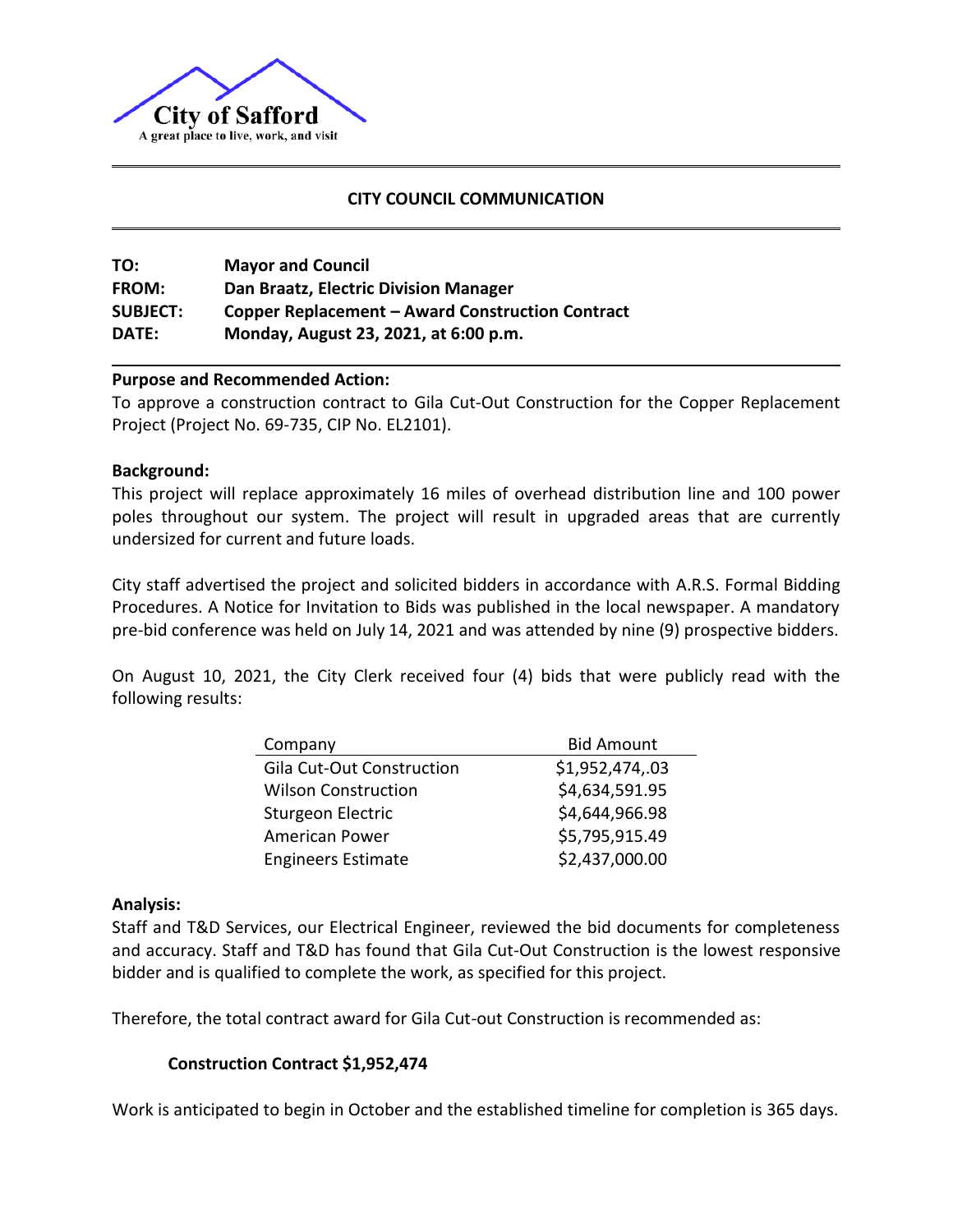

## **CITY COUNCIL COMMUNICATION**

**TO: Mayor and Council FROM: Dan Braatz, Electric Division Manager SUBJECT: Copper Replacement – Award Construction Contract DATE: Monday, August 23, 2021, at 6:00 p.m.**

### **Purpose and Recommended Action:**

To approve a construction contract to Gila Cut-Out Construction for the Copper Replacement Project (Project No. 69-735, CIP No. EL2101).

### **Background:**

This project will replace approximately 16 miles of overhead distribution line and 100 power poles throughout our system. The project will result in upgraded areas that are currently undersized for current and future loads.

City staff advertised the project and solicited bidders in accordance with A.R.S. Formal Bidding Procedures. A Notice for Invitation to Bids was published in the local newspaper. A mandatory pre-bid conference was held on July 14, 2021 and was attended by nine (9) prospective bidders.

On August 10, 2021, the City Clerk received four (4) bids that were publicly read with the following results:

| Company                          | <b>Bid Amount</b> |
|----------------------------------|-------------------|
| <b>Gila Cut-Out Construction</b> | \$1,952,474,.03   |
| <b>Wilson Construction</b>       | \$4,634,591.95    |
| Sturgeon Electric                | \$4,644,966.98    |
| <b>American Power</b>            | \$5,795,915.49    |
| <b>Engineers Estimate</b>        | \$2,437,000.00    |

### **Analysis:**

Staff and T&D Services, our Electrical Engineer, reviewed the bid documents for completeness and accuracy. Staff and T&D has found that Gila Cut-Out Construction is the lowest responsive bidder and is qualified to complete the work, as specified for this project.

Therefore, the total contract award for Gila Cut-out Construction is recommended as:

## **Construction Contract \$1,952,474**

Work is anticipated to begin in October and the established timeline for completion is 365 days.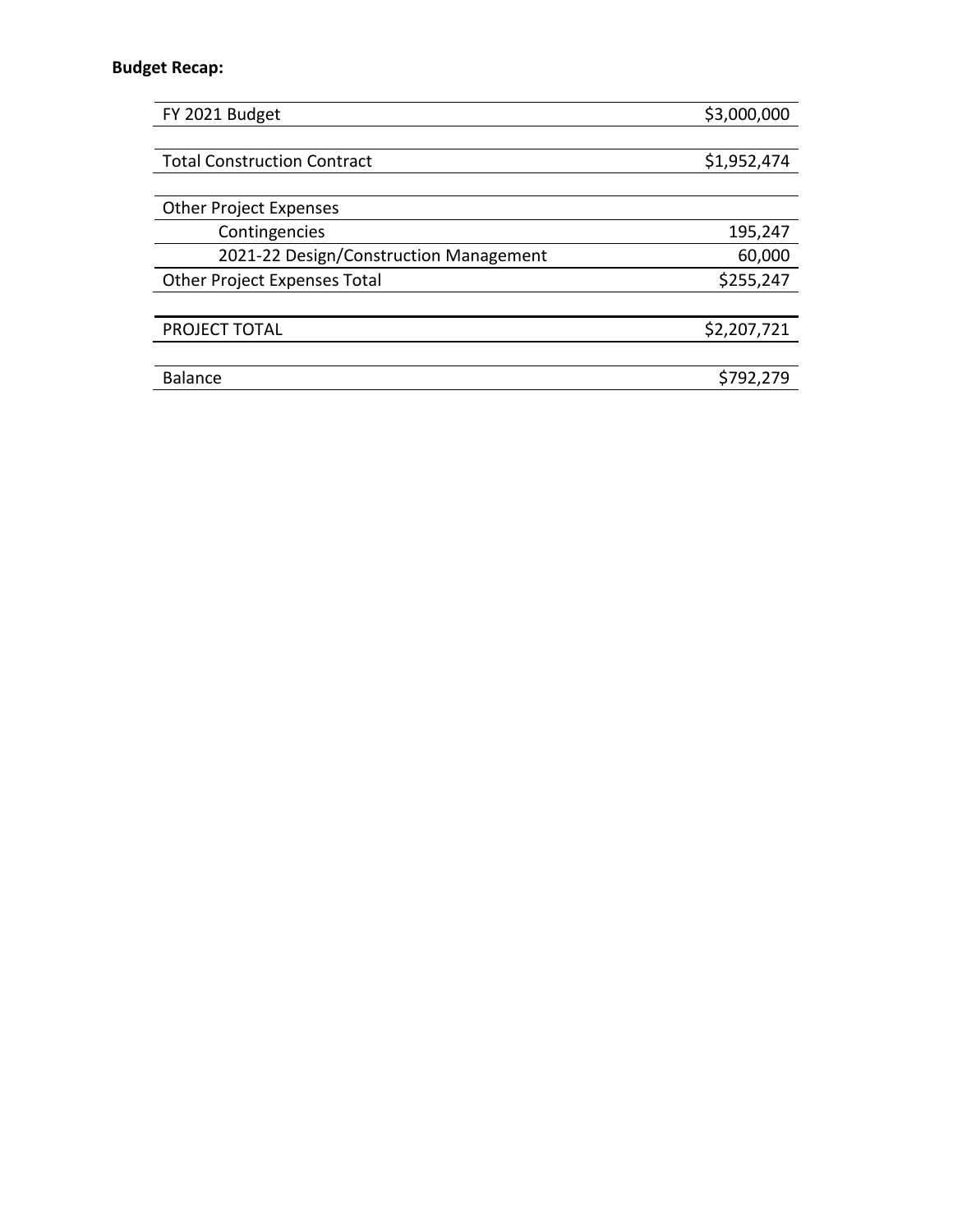## **Budget Recap:**

| FY 2021 Budget                         | \$3,000,000 |
|----------------------------------------|-------------|
|                                        |             |
| <b>Total Construction Contract</b>     | \$1,952,474 |
|                                        |             |
| <b>Other Project Expenses</b>          |             |
| Contingencies                          | 195,247     |
| 2021-22 Design/Construction Management | 60,000      |
| <b>Other Project Expenses Total</b>    | \$255,247   |
|                                        |             |
| PROJECT TOTAL                          | \$2,207,721 |
|                                        |             |
| <b>Balance</b>                         | \$792,279   |
|                                        |             |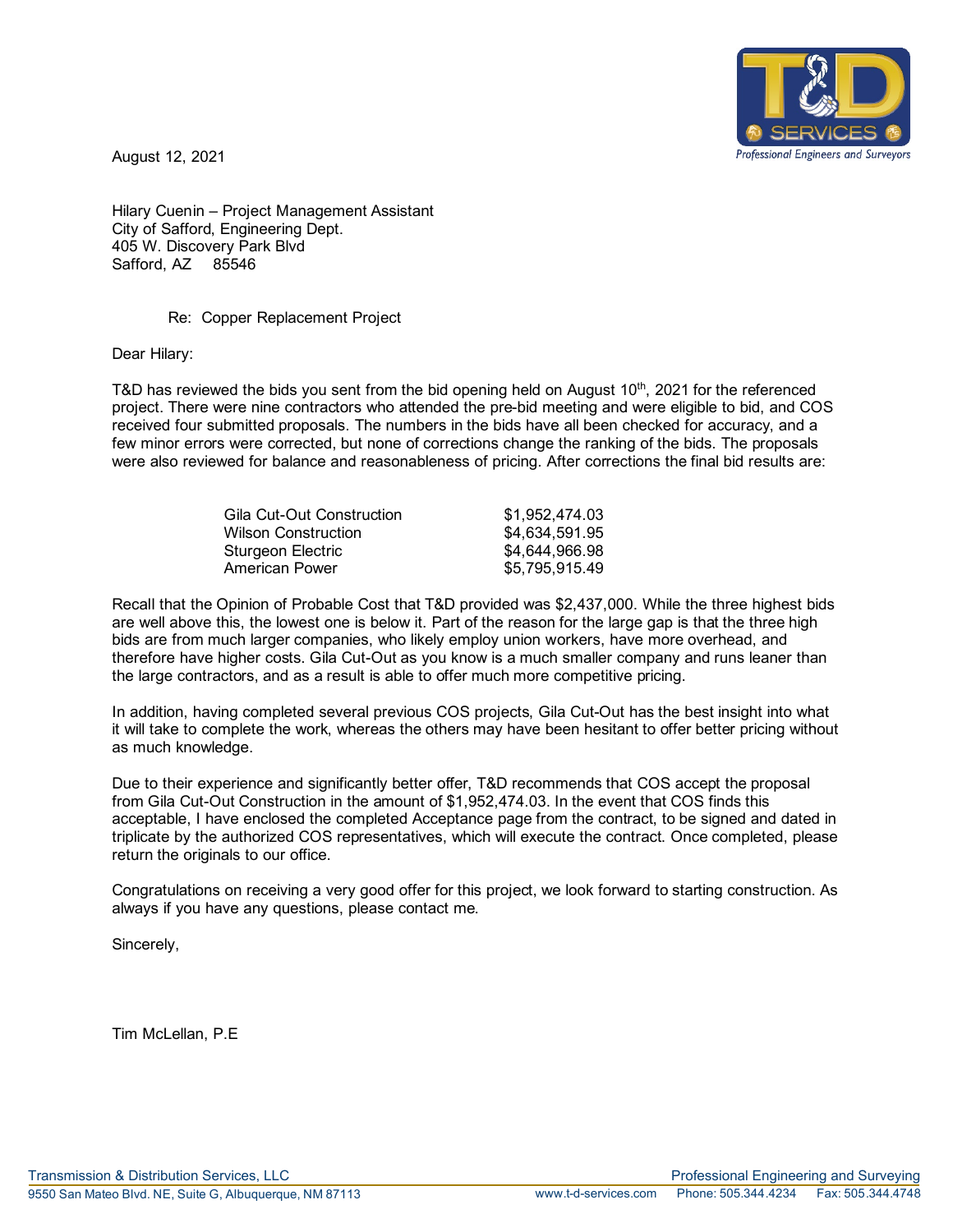

August 12, 2021

Hilary Cuenin – Project Management Assistant City of Safford, Engineering Dept. 405 W. Discovery Park Blvd Safford, AZ 85546

#### Re: Copper Replacement Project

Dear Hilary:

T&D has reviewed the bids you sent from the bid opening held on August  $10<sup>th</sup>$ , 2021 for the referenced project. There were nine contractors who attended the pre-bid meeting and were eligible to bid, and COS received four submitted proposals. The numbers in the bids have all been checked for accuracy, and a few minor errors were corrected, but none of corrections change the ranking of the bids. The proposals were also reviewed for balance and reasonableness of pricing. After corrections the final bid results are:

| Gila Cut-Out Construction | \$1,952,474.03 |
|---------------------------|----------------|
| Wilson Construction.      | \$4,634,591.95 |
| Sturgeon Electric         | \$4,644,966.98 |
| American Power            | \$5,795,915.49 |
|                           |                |

Recall that the Opinion of Probable Cost that T&D provided was \$2,437,000. While the three highest bids are well above this, the lowest one is below it. Part of the reason for the large gap is that the three high bids are from much larger companies, who likely employ union workers, have more overhead, and therefore have higher costs. Gila Cut-Out as you know is a much smaller company and runs leaner than the large contractors, and as a result is able to offer much more competitive pricing.

In addition, having completed several previous COS projects, Gila Cut-Out has the best insight into what it will take to complete the work, whereas the others may have been hesitant to offer better pricing without as much knowledge.

Due to their experience and significantly better offer, T&D recommends that COS accept the proposal from Gila Cut-Out Construction in the amount of \$1,952,474.03. In the event that COS finds this acceptable, I have enclosed the completed Acceptance page from the contract, to be signed and dated in triplicate by the authorized COS representatives, which will execute the contract. Once completed, please return the originals to our office.

Congratulations on receiving a very good offer for this project, we look forward to starting construction. As always if you have any questions, please contact me.

Sincerely,

Tim McLellan, P.E